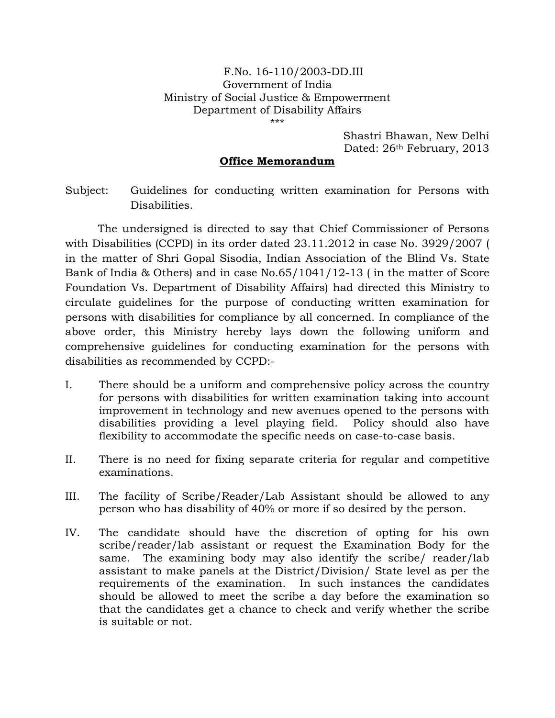## F.No. 16-110/2003-DD.III Government of India Ministry of Social Justice & Empowerment Department of Disability Affairs \*\*\*

Shastri Bhawan, New Delhi Dated: 26<sup>th</sup> February, 2013

## Office Memorandum

Subject: Guidelines for conducting written examination for Persons with Disabilities.

 The undersigned is directed to say that Chief Commissioner of Persons with Disabilities (CCPD) in its order dated 23.11.2012 in case No. 3929/2007 ( in the matter of Shri Gopal Sisodia, Indian Association of the Blind Vs. State Bank of India & Others) and in case No.65/1041/12-13 ( in the matter of Score Foundation Vs. Department of Disability Affairs) had directed this Ministry to circulate guidelines for the purpose of conducting written examination for persons with disabilities for compliance by all concerned. In compliance of the above order, this Ministry hereby lays down the following uniform and comprehensive guidelines for conducting examination for the persons with disabilities as recommended by CCPD:-

- I. There should be a uniform and comprehensive policy across the country for persons with disabilities for written examination taking into account improvement in technology and new avenues opened to the persons with disabilities providing a level playing field. Policy should also have flexibility to accommodate the specific needs on case-to-case basis.
- II. There is no need for fixing separate criteria for regular and competitive examinations.
- III. The facility of Scribe/Reader/Lab Assistant should be allowed to any person who has disability of 40% or more if so desired by the person.
- IV. The candidate should have the discretion of opting for his own scribe/reader/lab assistant or request the Examination Body for the same. The examining body may also identify the scribe/ reader/lab assistant to make panels at the District/Division/ State level as per the requirements of the examination. In such instances the candidates should be allowed to meet the scribe a day before the examination so that the candidates get a chance to check and verify whether the scribe is suitable or not.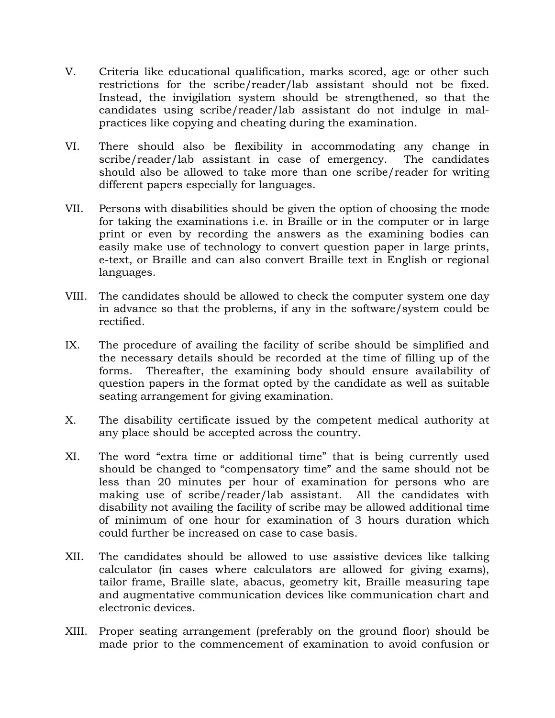- V. Criteria like educational qualification, marks scored, age or other such restrictions for the scribe/reader/lab assistant should not be fixed. Instead, the invigilation system should be strengthened, so that the candidates using scribe/reader/lab assistant do not indulge in malpractices like copying and cheating during the examination.
- VI. There should also be flexibility in accommodating any change in scribe/reader/lab assistant in case of emergency. The candidates should also be allowed to take more than one scribe/reader for writing different papers especially for languages.
- VII. Persons with disabilities should be given the option of choosing the mode for taking the examinations i.e. in Braille or in the computer or in large print or even by recording the answers as the examining bodies can easily make use of technology to convert question paper in large prints, e-text, or Braille and can also convert Braille text in English or regional languages.
- VIII. The candidates should be allowed to check the computer system one day in advance so that the problems, if any in the software/system could be rectified.
- IX. The procedure of availing the facility of scribe should be simplified and the necessary details should be recorded at the time of filling up of the forms. Thereafter, the examining body should ensure availability of question papers in the format opted by the candidate as well as suitable seating arrangement for giving examination.
- X. The disability certificate issued by the competent medical authority at any place should be accepted across the country.
- XI. The word "extra time or additional time" that is being currently used should be changed to "compensatory time" and the same should not be less than 20 minutes per hour of examination for persons who are making use of scribe/reader/lab assistant. All the candidates with disability not availing the facility of scribe may be allowed additional time of minimum of one hour for examination of 3 hours duration which could further be increased on case to case basis.
- XII. The candidates should be allowed to use assistive devices like talking calculator (in cases where calculators are allowed for giving exams), tailor frame, Braille slate, abacus, geometry kit, Braille measuring tape and augmentative communication devices like communication chart and electronic devices.
- XIII. Proper seating arrangement (preferably on the ground floor) should be made prior to the commencement of examination to avoid confusion or